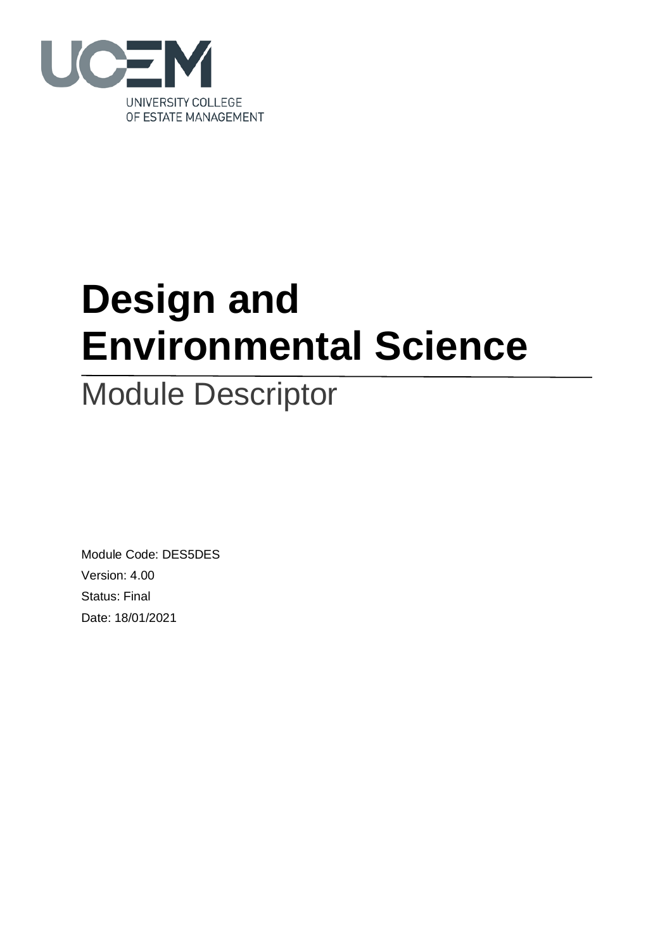

# **Design and Environmental Science**

## Module Descriptor

Module Code: DES5DES Version: 4.00 Status: Final Date: 18/01/2021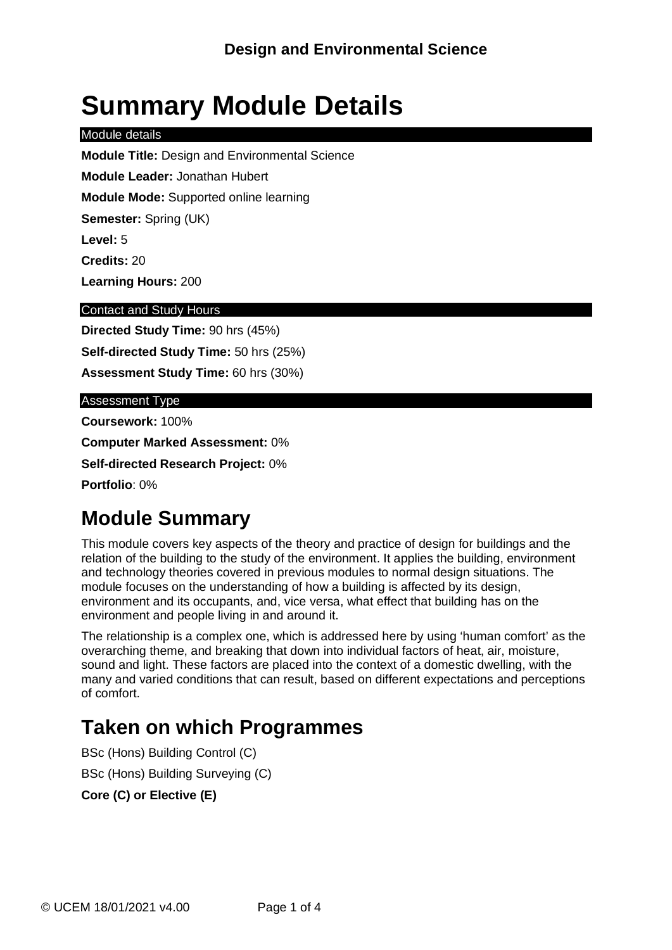## **Summary Module Details**

#### Module details

**Module Title:** Design and Environmental Science

**Module Leader:** Jonathan Hubert

**Module Mode:** Supported online learning

**Semester:** Spring (UK)

**Level:** 5

**Credits:** 20

**Learning Hours:** 200

#### Contact and Study Hours

**Directed Study Time:** 90 hrs (45%) **Self-directed Study Time:** 50 hrs (25%) **Assessment Study Time:** 60 hrs (30%)

#### Assessment Type

**Coursework:** 100%

**Computer Marked Assessment:** 0%

**Self-directed Research Project:** 0%

**Portfolio**: 0%

### **Module Summary**

This module covers key aspects of the theory and practice of design for buildings and the relation of the building to the study of the environment. It applies the building, environment and technology theories covered in previous modules to normal design situations. The module focuses on the understanding of how a building is affected by its design, environment and its occupants, and, vice versa, what effect that building has on the environment and people living in and around it.

The relationship is a complex one, which is addressed here by using 'human comfort' as the overarching theme, and breaking that down into individual factors of heat, air, moisture, sound and light. These factors are placed into the context of a domestic dwelling, with the many and varied conditions that can result, based on different expectations and perceptions of comfort.

### **Taken on which Programmes**

BSc (Hons) Building Control (C) BSc (Hons) Building Surveying (C) **Core (C) or Elective (E)**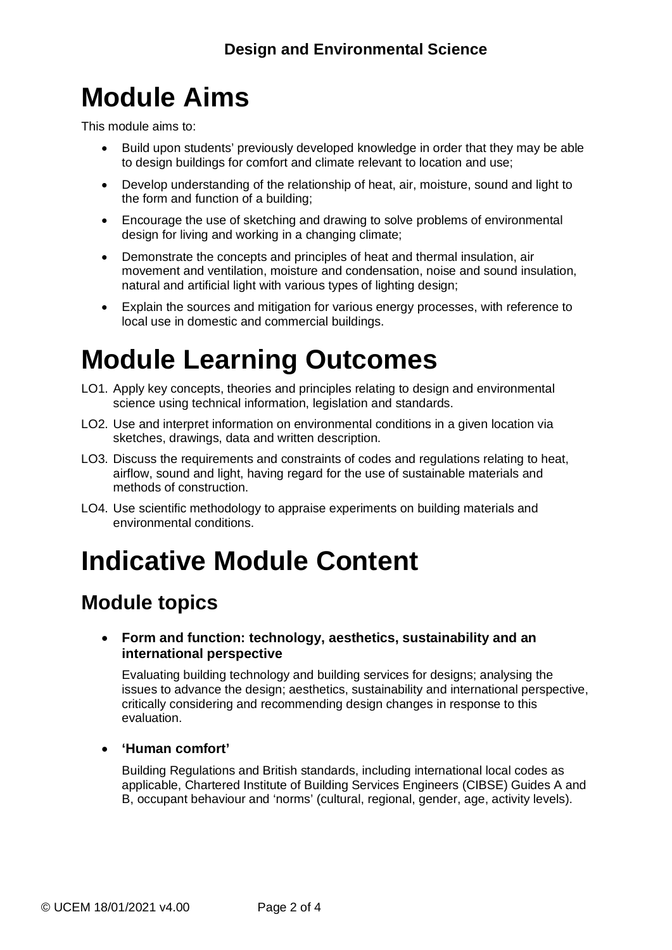## **Module Aims**

This module aims to:

- Build upon students' previously developed knowledge in order that they may be able to design buildings for comfort and climate relevant to location and use;
- Develop understanding of the relationship of heat, air, moisture, sound and light to the form and function of a building;
- Encourage the use of sketching and drawing to solve problems of environmental design for living and working in a changing climate;
- Demonstrate the concepts and principles of heat and thermal insulation, air movement and ventilation, moisture and condensation, noise and sound insulation, natural and artificial light with various types of lighting design;
- Explain the sources and mitigation for various energy processes, with reference to local use in domestic and commercial buildings.

## **Module Learning Outcomes**

- LO1. Apply key concepts, theories and principles relating to design and environmental science using technical information, legislation and standards.
- LO2. Use and interpret information on environmental conditions in a given location via sketches, drawings, data and written description.
- LO3. Discuss the requirements and constraints of codes and regulations relating to heat, airflow, sound and light, having regard for the use of sustainable materials and methods of construction.
- LO4. Use scientific methodology to appraise experiments on building materials and environmental conditions.

## **Indicative Module Content**

### **Module topics**

#### • **Form and function: technology, aesthetics, sustainability and an international perspective**

Evaluating building technology and building services for designs; analysing the issues to advance the design; aesthetics, sustainability and international perspective, critically considering and recommending design changes in response to this evaluation.

#### • **'Human comfort'**

Building Regulations and British standards, including international local codes as applicable, Chartered Institute of Building Services Engineers (CIBSE) Guides A and B, occupant behaviour and 'norms' (cultural, regional, gender, age, activity levels).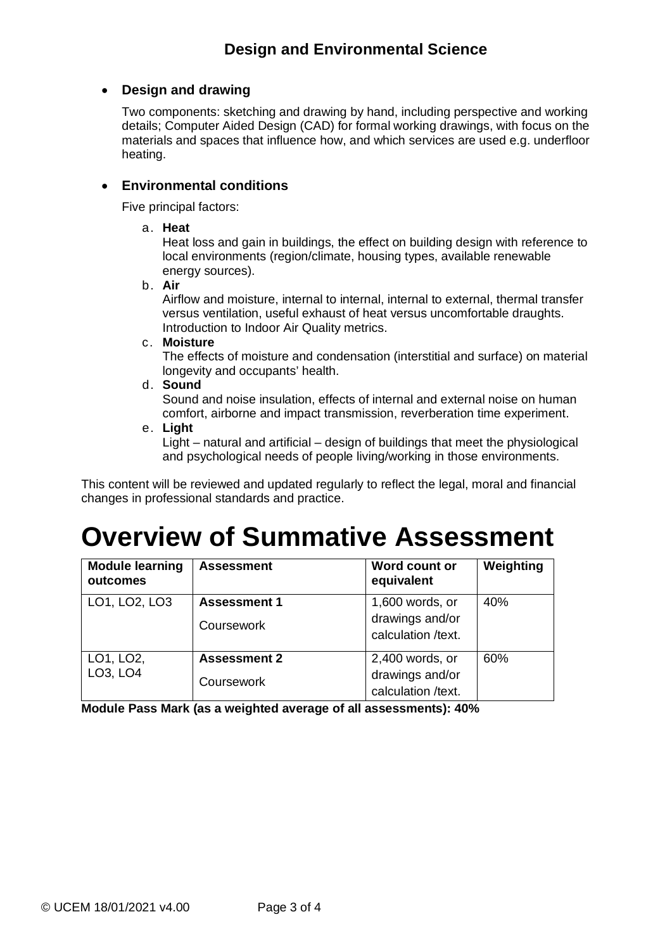#### • **Design and drawing**

Two components: sketching and drawing by hand, including perspective and working details; Computer Aided Design (CAD) for formal working drawings, with focus on the materials and spaces that influence how, and which services are used e.g. underfloor heating.

#### • **Environmental conditions**

Five principal factors:

a. **Heat**

Heat loss and gain in buildings, the effect on building design with reference to local environments (region/climate, housing types, available renewable energy sources).

b. **Air**

Airflow and moisture, internal to internal, internal to external, thermal transfer versus ventilation, useful exhaust of heat versus uncomfortable draughts. Introduction to Indoor Air Quality metrics.

#### c. **Moisture**

The effects of moisture and condensation (interstitial and surface) on material longevity and occupants' health.

d. **Sound**

Sound and noise insulation, effects of internal and external noise on human comfort, airborne and impact transmission, reverberation time experiment.

e. **Light**

Light – natural and artificial – design of buildings that meet the physiological and psychological needs of people living/working in those environments.

This content will be reviewed and updated regularly to reflect the legal, moral and financial changes in professional standards and practice.

## **Overview of Summative Assessment**

| <b>Module learning</b><br>outcomes | <b>Assessment</b>                 | Word count or<br>equivalent                              | Weighting |
|------------------------------------|-----------------------------------|----------------------------------------------------------|-----------|
| LO1, LO2, LO3                      | <b>Assessment 1</b><br>Coursework | 1,600 words, or<br>drawings and/or<br>calculation /text. | 40%       |
| LO1, LO2,<br>LO3, LO4              | <b>Assessment 2</b><br>Coursework | 2,400 words, or<br>drawings and/or<br>calculation /text. | 60%       |

**Module Pass Mark (as a weighted average of all assessments): 40%**